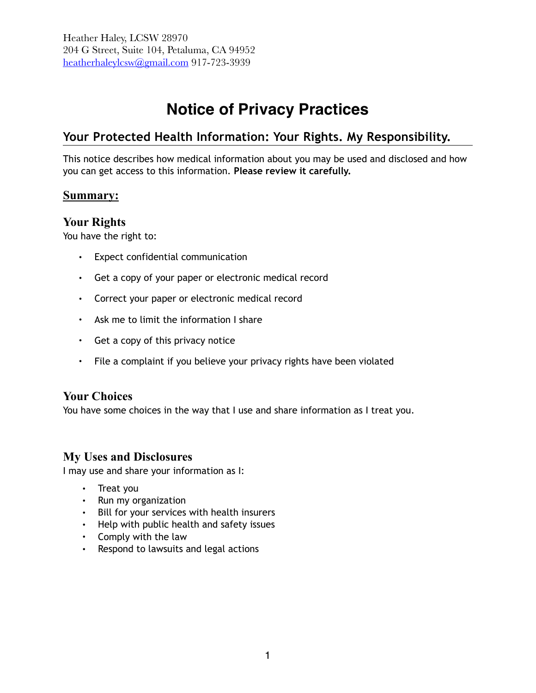# **Notice of Privacy Practices**

## **Your Protected Health Information: Your Rights. My Responsibility.**

This notice describes how medical information about you may be used and disclosed and how you can get access to this information. **Please review it carefully.**

### **Summary:**

### **Your Rights**

You have the right to:

- Expect confidential communication
- Get a copy of your paper or electronic medical record
- Correct your paper or electronic medical record
- Ask me to limit the information I share
- Get a copy of this privacy notice
- File a complaint if you believe your privacy rights have been violated

### **Your Choices**

You have some choices in the way that I use and share information as I treat you.

### **My Uses and Disclosures**

I may use and share your information as I:

- Treat you
- Run my organization
- Bill for your services with health insurers
- Help with public health and safety issues
- Comply with the law
- Respond to lawsuits and legal actions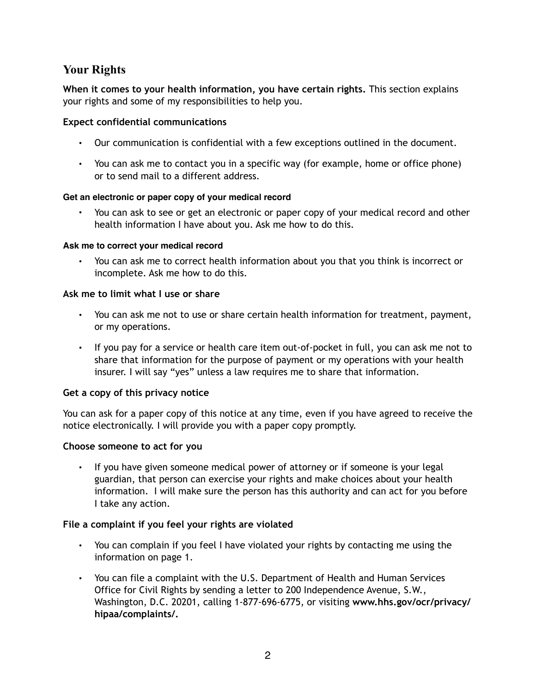### **Your Rights**

**When it comes to your health information, you have certain rights.** This section explains your rights and some of my responsibilities to help you.

### **Expect confidential communications**

- Our communication is confidential with a few exceptions outlined in the document.
- You can ask me to contact you in a specific way (for example, home or office phone) or to send mail to a different address.

### **Get an electronic or paper copy of your medical record**

• You can ask to see or get an electronic or paper copy of your medical record and other health information I have about you. Ask me how to do this.

#### **Ask me to correct your medical record**

• You can ask me to correct health information about you that you think is incorrect or incomplete. Ask me how to do this.

### **Ask me to limit what I use or share**

- You can ask me not to use or share certain health information for treatment, payment, or my operations.
- If you pay for a service or health care item out-of-pocket in full, you can ask me not to share that information for the purpose of payment or my operations with your health insurer. I will say "yes" unless a law requires me to share that information.

### **Get a copy of this privacy notice**

You can ask for a paper copy of this notice at any time, even if you have agreed to receive the notice electronically. I will provide you with a paper copy promptly.

### **Choose someone to act for you**

• If you have given someone medical power of attorney or if someone is your legal guardian, that person can exercise your rights and make choices about your health information. I will make sure the person has this authority and can act for you before I take any action.

### **File a complaint if you feel your rights are violated**

- You can complain if you feel I have violated your rights by contacting me using the information on page 1.
- You can file a complaint with the U.S. Department of Health and Human Services Office for Civil Rights by sending a letter to 200 Independence Avenue, S.W., Washington, D.C. 20201, calling 1-877-696-6775, or visiting **www.hhs.gov/ocr/privacy/ hipaa/complaints/.**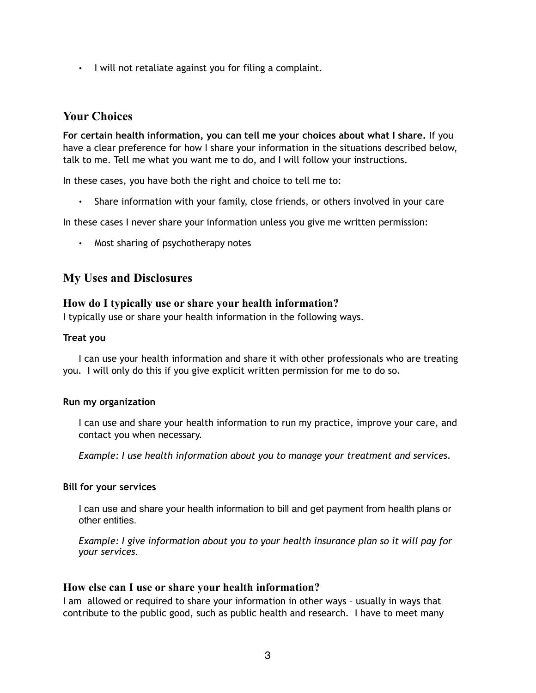• I will not retaliate against you for filing a complaint.

### **Your Choices**

**For certain health information, you can tell me your choices about what I share.** If you have a clear preference for how I share your information in the situations described below, talk to me. Tell me what you want me to do, and I will follow your instructions.

In these cases, you have both the right and choice to tell me to:

• Share information with your family, close friends, or others involved in your care

In these cases I never share your information unless you give me written permission:

• Most sharing of psychotherapy notes

### **My Uses and Disclosures**

### **How do I typically use or share your health information?**

I typically use or share your health information in the following ways.

#### **Treat you**

I can use your health information and share it with other professionals who are treating you. I will only do this if you give explicit written permission for me to do so.

#### **Run my organization**

I can use and share your health information to run my practice, improve your care, and contact you when necessary.

*Example: I use health information about you to manage your treatment and services.* 

### **Bill for your services**

I can use and share your health information to bill and get payment from health plans or other entities.

*Example: I give information about you to your health insurance plan so it will pay for your services.* 

### **How else can I use or share your health information?**

I am allowed or required to share your information in other ways – usually in ways that contribute to the public good, such as public health and research. I have to meet many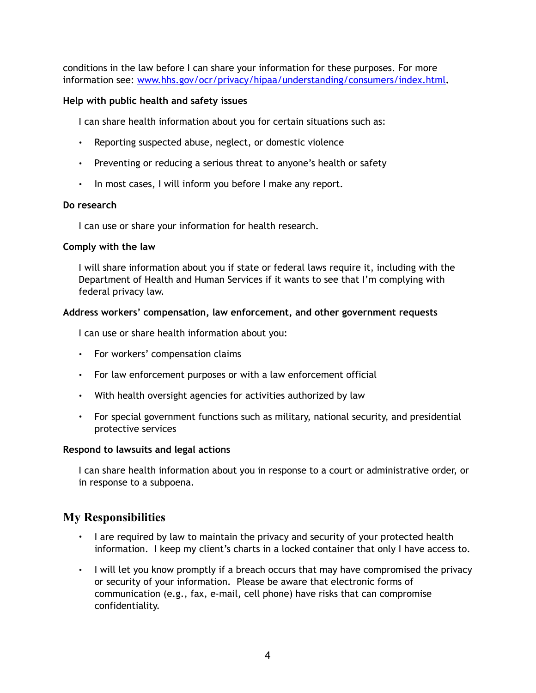conditions in the law before I can share your information for these purposes. For more information see: [www.hhs.gov/ocr/privacy/hipaa/understanding/consumers/index.html](http://www.hhs.gov/ocr/privacy/hipaa/understanding/consumers/index.html)**.**

### **Help with public health and safety issues**

I can share health information about you for certain situations such as:

- Reporting suspected abuse, neglect, or domestic violence
- Preventing or reducing a serious threat to anyone's health or safety
- In most cases, I will inform you before I make any report.

### **Do research**

I can use or share your information for health research.

#### **Comply with the law**

I will share information about you if state or federal laws require it, including with the Department of Health and Human Services if it wants to see that I'm complying with federal privacy law.

### **Address workers' compensation, law enforcement, and other government requests**

I can use or share health information about you:

- For workers' compensation claims
- For law enforcement purposes or with a law enforcement official
- With health oversight agencies for activities authorized by law
- For special government functions such as military, national security, and presidential protective services

### **Respond to lawsuits and legal actions**

I can share health information about you in response to a court or administrative order, or in response to a subpoena.

### **My Responsibilities**

- I are required by law to maintain the privacy and security of your protected health information. I keep my client's charts in a locked container that only I have access to.
- I will let you know promptly if a breach occurs that may have compromised the privacy or security of your information. Please be aware that electronic forms of communication (e.g., fax, e-mail, cell phone) have risks that can compromise confidentiality.